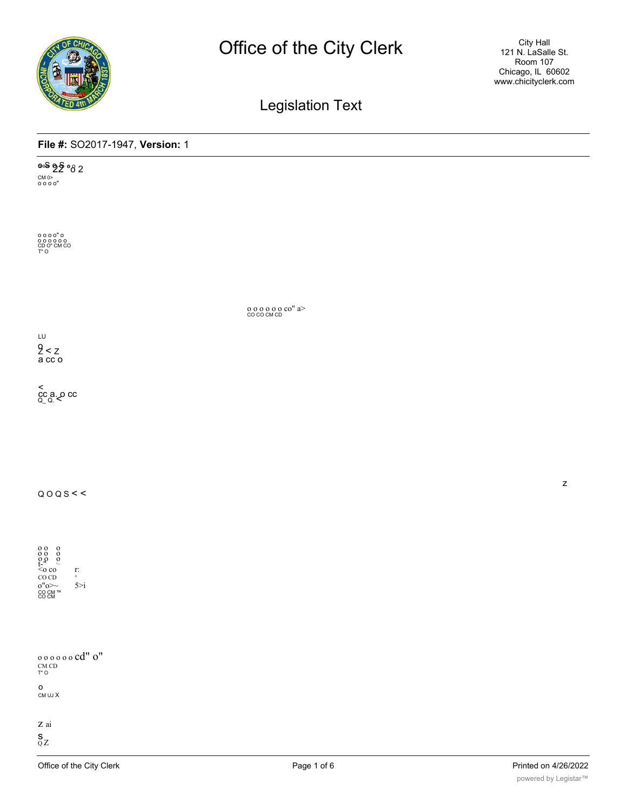

Legislation Text

## **File #:** SO2017-1947, **Version:** 1

**000 g 2** 08 2 CM 0> o o o o"

o o o o" o o o o o o o CD O" CM CO T" O

o o o o o o co" a> CO CO CM CD

LU  $2 < z$ a cc o

< cc a. o cc Q\_ Q. <

 $Q O Q S <$ 

o o o o o o o o o t-" ,\_ <o co r: CO CD<br>o"o>~ 5>i<br>co cm ™<br>co cm

o o o o o o cd" o" CM CD T" O

o CM UJ X

z ai

 $\frac{S}{Q}$ Z

z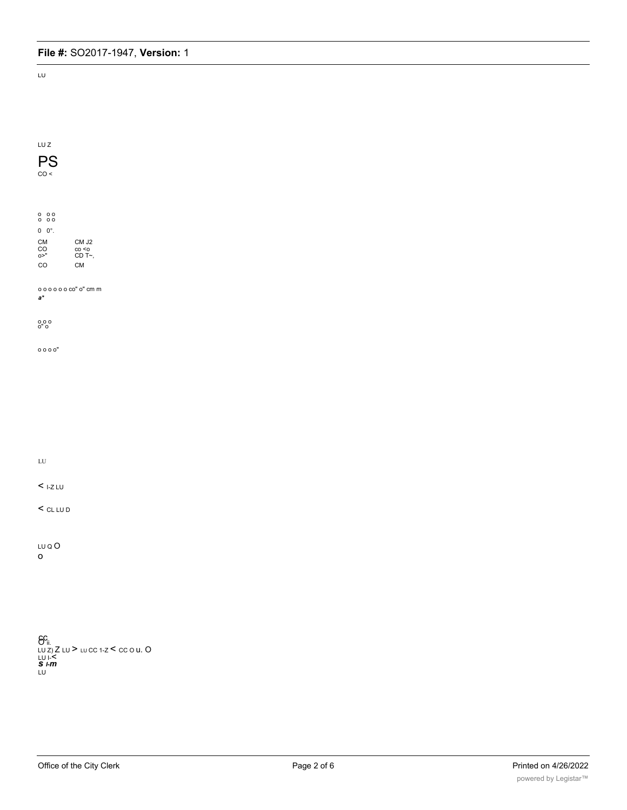LU

| LU Z                                                 |                                                                   |  |
|------------------------------------------------------|-------------------------------------------------------------------|--|
| PS                                                   |                                                                   |  |
| CO <                                                 |                                                                   |  |
|                                                      |                                                                   |  |
|                                                      |                                                                   |  |
| $\begin{matrix} 0 & 0 & 0 \\ 0 & 0 & 0 \end{matrix}$ |                                                                   |  |
| $0 \quad 0^{\circ}$ .                                |                                                                   |  |
| ${\sf CM}$<br>CO <sub>0</sub>                        | CM J2                                                             |  |
| CO                                                   | co <o<br>CD T~,<br/><math display="inline">{\sf CM}</math></o<br> |  |
|                                                      |                                                                   |  |
| $00000000$ " o" cm m                                 |                                                                   |  |
| $a^*$                                                |                                                                   |  |
|                                                      |                                                                   |  |
| 0.0000                                               |                                                                   |  |
| 0000                                                 |                                                                   |  |
|                                                      |                                                                   |  |
|                                                      |                                                                   |  |
|                                                      |                                                                   |  |
|                                                      |                                                                   |  |
|                                                      |                                                                   |  |
|                                                      |                                                                   |  |
|                                                      |                                                                   |  |
| ${\rm LU}$                                           |                                                                   |  |
|                                                      |                                                                   |  |
| $<$ 1-Z LU                                           |                                                                   |  |
| $<$ CL LU D                                          |                                                                   |  |
|                                                      |                                                                   |  |
|                                                      |                                                                   |  |
| LU Q O                                               |                                                                   |  |
| o                                                    |                                                                   |  |
|                                                      |                                                                   |  |
|                                                      |                                                                   |  |
|                                                      |                                                                   |  |
|                                                      |                                                                   |  |

<mark>GC</mark> ii. LU Z) <sup>Z</sup> LU <sup>&</sup>gt; LU CC 1-Z <sup>&</sup>lt; CC O u. O LU I-< *<sup>s</sup> I-m* LU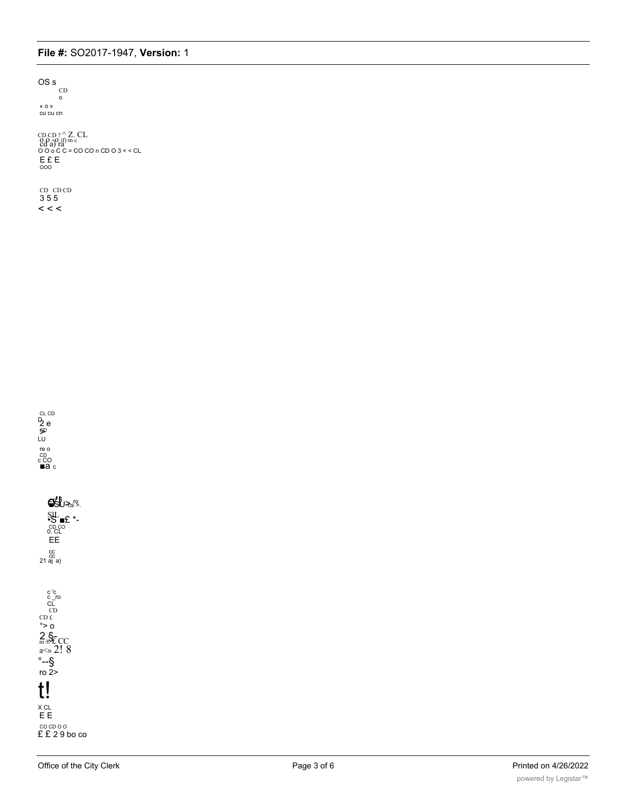## File #: SO2017-1947, Version: 1

OS s  $CD$  $\circ$ « o » cu cu cn

CDCD?^Z.CL<br>
Cd a) ra m<br>
O d o C c = CO CO n CD O 3 < < CL<br>
E £ E<br>
000

CD CD CD  $355$  $\lt$   $\lt$ 



 $950 - 59$  $\begin{array}{l}\n\text{SL} \\
\text{SL} \\
\text{CD} \\
\text{SL} \\
\text{FL} \\
\text{D} \\
\text{CL} \\
\text{F} \\
\text{E} \\
\text{E} \\
\end{array}$ cc<br>21 aj a)

 $\begin{array}{c} c^{\prime}c\\ c\_ro\\ C\\ C\\ C\\ D\\ \epsilon\\ c>0 \end{array}$  $2 \n  
\n<sub>m</sub> <sup>3</sup> C C\n  
\n<sub>a<\infty</sub> 2! 8$  $\frac{1}{2}$  --\$<br>ro 2>  $t!$  $\times$  CL EE  $CCDOO$ <br> $E$   $E$  29 bo  $CO$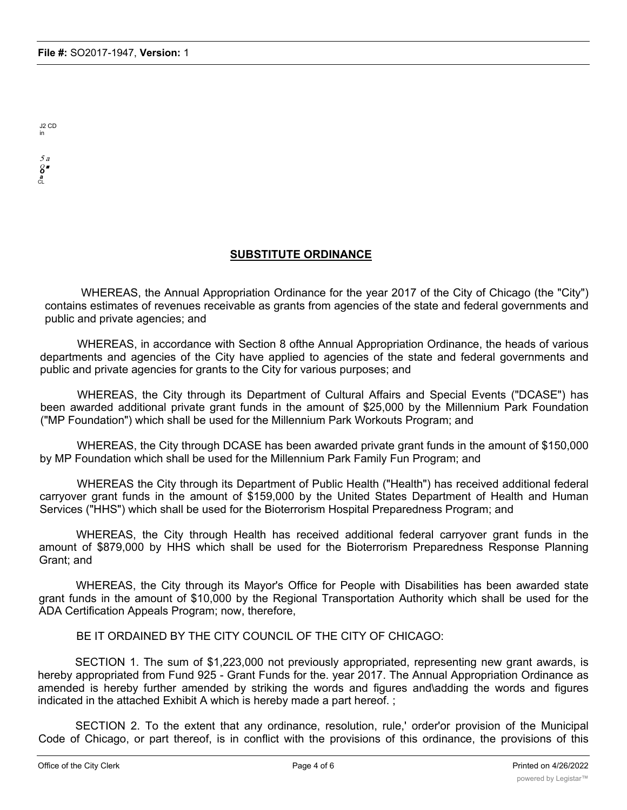J2 CD in

5 a Q ■ *o a* CL

## **SUBSTITUTE ORDINANCE**

WHEREAS, the Annual Appropriation Ordinance for the year 2017 of the City of Chicago (the "City") contains estimates of revenues receivable as grants from agencies of the state and federal governments and public and private agencies; and

WHEREAS, in accordance with Section 8 ofthe Annual Appropriation Ordinance, the heads of various departments and agencies of the City have applied to agencies of the state and federal governments and public and private agencies for grants to the City for various purposes; and

WHEREAS, the City through its Department of Cultural Affairs and Special Events ("DCASE") has been awarded additional private grant funds in the amount of \$25,000 by the Millennium Park Foundation ("MP Foundation") which shall be used for the Millennium Park Workouts Program; and

WHEREAS, the City through DCASE has been awarded private grant funds in the amount of \$150,000 by MP Foundation which shall be used for the Millennium Park Family Fun Program; and

WHEREAS the City through its Department of Public Health ("Health") has received additional federal carryover grant funds in the amount of \$159,000 by the United States Department of Health and Human Services ("HHS") which shall be used for the Bioterrorism Hospital Preparedness Program; and

WHEREAS, the City through Health has received additional federal carryover grant funds in the amount of \$879,000 by HHS which shall be used for the Bioterrorism Preparedness Response Planning Grant; and

WHEREAS, the City through its Mayor's Office for People with Disabilities has been awarded state grant funds in the amount of \$10,000 by the Regional Transportation Authority which shall be used for the ADA Certification Appeals Program; now, therefore,

BE IT ORDAINED BY THE CITY COUNCIL OF THE CITY OF CHICAGO:

SECTION 1. The sum of \$1,223,000 not previously appropriated, representing new grant awards, is hereby appropriated from Fund 925 - Grant Funds for the. year 2017. The Annual Appropriation Ordinance as amended is hereby further amended by striking the words and figures and\adding the words and figures indicated in the attached Exhibit A which is hereby made a part hereof. ;

SECTION 2. To the extent that any ordinance, resolution, rule,' order'or provision of the Municipal Code of Chicago, or part thereof, is in conflict with the provisions of this ordinance, the provisions of this